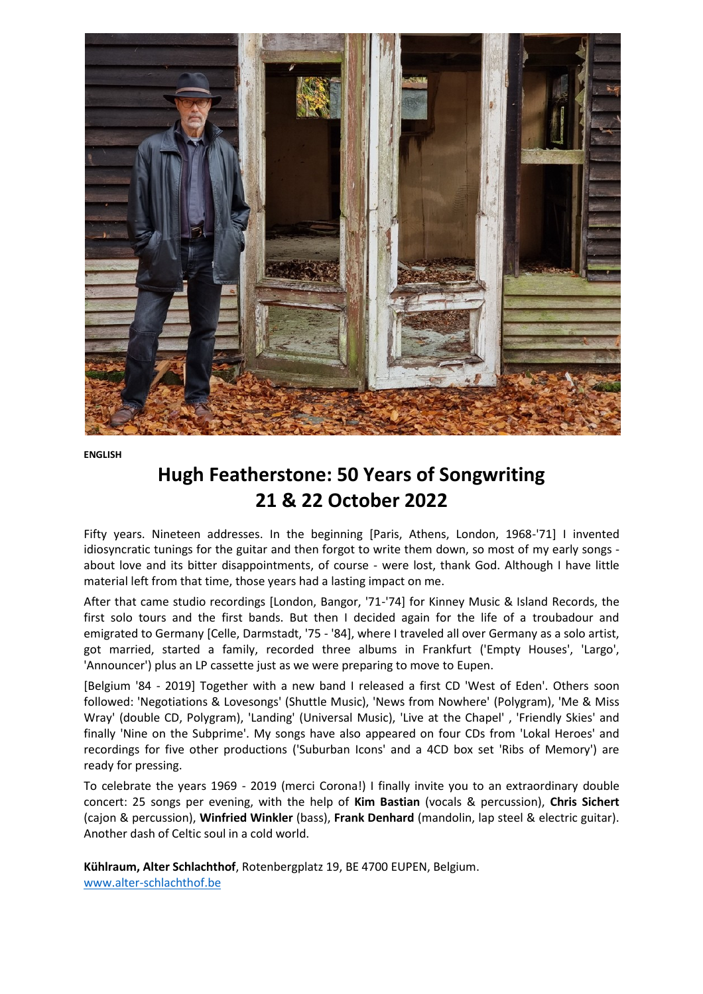

**ENGLISH**

## **Hugh Featherstone: 50 Years of Songwriting 21 & 22 October 2022**

Fifty years. Nineteen addresses. In the beginning [Paris, Athens, London, 1968-'71] I invented idiosyncratic tunings for the guitar and then forgot to write them down, so most of my early songs about love and its bitter disappointments, of course - were lost, thank God. Although I have little material left from that time, those years had a lasting impact on me.

After that came studio recordings [London, Bangor, '71-'74] for Kinney Music & Island Records, the first solo tours and the first bands. But then I decided again for the life of a troubadour and emigrated to Germany [Celle, Darmstadt, '75 - '84], where I traveled all over Germany as a solo artist, got married, started a family, recorded three albums in Frankfurt ('Empty Houses', 'Largo', 'Announcer') plus an LP cassette just as we were preparing to move to Eupen.

[Belgium '84 - 2019] Together with a new band I released a first CD 'West of Eden'. Others soon followed: 'Negotiations & Lovesongs' (Shuttle Music), 'News from Nowhere' (Polygram), 'Me & Miss Wray' (double CD, Polygram), 'Landing' (Universal Music), 'Live at the Chapel' , 'Friendly Skies' and finally 'Nine on the Subprime'. My songs have also appeared on four CDs from 'Lokal Heroes' and recordings for five other productions ('Suburban Icons' and a 4CD box set 'Ribs of Memory') are ready for pressing.

To celebrate the years 1969 - 2019 (merci Corona!) I finally invite you to an extraordinary double concert: 25 songs per evening, with the help of **Kim Bastian** (vocals & percussion), **Chris Sichert** (cajon & percussion), **Winfried Winkler** (bass), **Frank Denhard** (mandolin, lap steel & electric guitar). Another dash of Celtic soul in a cold world.

**Kühlraum, Alter Schlachthof**, Rotenbergplatz 19, BE 4700 EUPEN, Belgium. [www.alter-schlachthof.be](http://www.alter-schlachthof.be/)